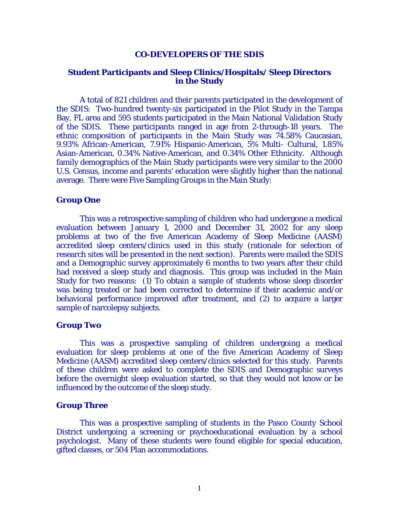## **CO-DEVELOPERS OF THE SDIS**

# **Student Participants and Sleep Clinics/Hospitals/ Sleep Directors in the Study**

 A total of 821 children and their parents participated in the development of the SDIS: Two-hundred twenty-six participated in the Pilot Study in the Tampa Bay, FL area and 595 students participated in the Main National Validation Study of the SDIS. These participants ranged in age from 2-through-18 years. The ethnic composition of participants in the Main Study was 74.58% Caucasian, 9.93% African-American, 7.91% Hispanic-American, 5% Multi- Cultural, 1.85% Asian-American, 0.34% Native-American, and 0.34% Other Ethnicity. Although family demographics of the Main Study participants were very similar to the 2000 U.S. Census, income and parents' education were slightly higher than the national average. There were Five Sampling Groups in the Main Study:

## **Group One**

This was a retrospective sampling of children who had undergone a medical evaluation between January 1, 2000 and December 31, 2002 for any sleep problems at two of the five American Academy of Sleep Medicine (AASM) accredited sleep centers/clinics used in this study (rationale for selection of research sites will be presented in the next section). Parents were mailed the SDIS and a Demographic survey approximately 6 months to two years after their child had received a sleep study and diagnosis. This group was included in the Main Study for two reasons: (1) To obtain a sample of students whose sleep disorder was being treated or had been corrected to determine if their academic and/or behavioral performance improved after treatment, and (2) to acquire a larger sample of narcolepsy subjects.

## **Group Two**

This was a prospective sampling of children undergoing a medical evaluation for sleep problems at one of the five American Academy of Sleep Medicine (AASM) accredited sleep centers/clinics selected for this study. Parents of these children were asked to complete the SDIS and Demographic surveys before the overnight sleep evaluation started, so that they would not know or be influenced by the outcome of the sleep study.

### **Group Three**

This was a prospective sampling of students in the Pasco County School District undergoing a screening or psychoeducational evaluation by a school psychologist. Many of these students were found eligible for special education, gifted classes, or 504 Plan accommodations.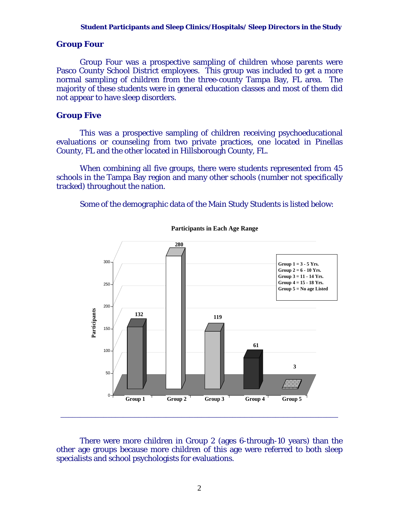# **Group Four**

Group Four was a prospective sampling of children whose parents were Pasco County School District employees. This group was included to get a more normal sampling of children from the three-county Tampa Bay, FL area. The majority of these students were in general education classes and most of them did not appear to have sleep disorders.

# **Group Five**

This was a prospective sampling of children receiving psychoeducational evaluations or counseling from two private practices, one located in Pinellas County, FL and the other located in Hillsborough County, FL.

When combining all five groups, there were students represented from 45 schools in the Tampa Bay region and many other schools (number not specifically tracked) throughout the nation.

Some of the demographic data of the Main Study Students is listed below:



**Participants in Each Age Range**

There were more children in Group 2 (ages 6-through-10 years) than the other age groups because more children of this age were referred to both sleep specialists and school psychologists for evaluations.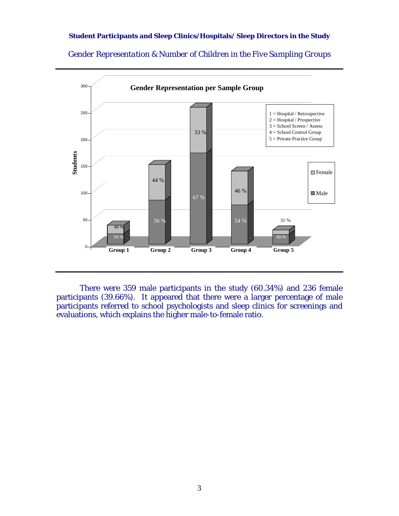*Gender Representation & Number of Children in the Five Sampling Groups* 



 There were 359 male participants in the study (60.34%) and 236 female participants (39.66%). It appeared that there were a larger percentage of male participants referred to school psychologists and sleep clinics for screenings and evaluations, which explains the higher male-to-female ratio.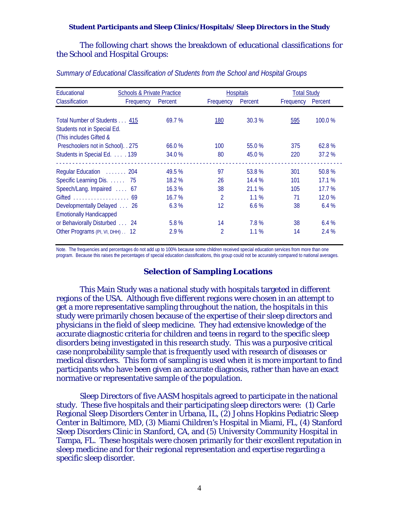The following chart shows the breakdown of educational classifications for the School and Hospital Groups:

| Educational                        | <b>Schools &amp; Private Practice</b> |                | <b>Hospitals</b> |           | <b>Total Study</b> |  |
|------------------------------------|---------------------------------------|----------------|------------------|-----------|--------------------|--|
| Classification<br>Frequency        | Percent                               | Frequency      | Percent          | Frequency | Percent            |  |
|                                    |                                       |                |                  |           |                    |  |
| Total Number of Students 415       | 69.7%                                 | <b>180</b>     | 30.3%            | 595       | 100.0 %            |  |
| Students not in Special Ed.        |                                       |                |                  |           |                    |  |
| (This includes Gifted &            |                                       |                |                  |           |                    |  |
| Preschoolers not in School). . 275 | 66.0%                                 | 100            | 55.0 %           | 375       | 62.8%              |  |
| Students in Special Ed. 139        | 34.0 %                                | 80             | 45.0 %           | 220       | 37.2%              |  |
|                                    |                                       |                |                  |           |                    |  |
| Regular Education  204             | 49.5%                                 | 97             | 53.8%            | 301       | 50.8%              |  |
| Specific Learning Dis. 75          | 18.2 %                                | 26             | 14.4 %           | 101       | 17.1%              |  |
| Speech/Lang. Impaired  67          | 16.3%                                 | 38             | 21.1%            | 105       | 17.7%              |  |
|                                    | 16.7%                                 | $\mathfrak{D}$ | $1.1\%$          | 71        | 12.0%              |  |
| Developmentally Delayed  26        | 6.3%                                  | 12             | 6.6%             | 38        | 6.4%               |  |
| <b>Emotionally Handicapped</b>     |                                       |                |                  |           |                    |  |
| or Behaviorally Disturbed 24       | 5.8%                                  | 14             | 7.8%             | 38        | 6.4%               |  |
| Other Programs (PI, VI, DHH) 12    | 2.9 %                                 | $\overline{2}$ | 1.1%             | 14        | 2.4 %              |  |

# *Summary of Educational Classification of Students from the School and Hospital Groups*

Note. The frequencies and percentages do not add up to 100% because some children received special education services from more than one program. Because this raises the percentages of special education classifications, this group could not be accurately compared to national averages.

### **Selection of Sampling Locations**

This Main Study was a national study with hospitals targeted in different regions of the USA. Although five different regions were chosen in an attempt to get a more representative sampling throughout the nation, the hospitals in this study were primarily chosen because of the expertise of their sleep directors and physicians in the field of sleep medicine. They had extensive knowledge of the accurate diagnostic criteria for children and teens in regard to the specific sleep disorders being investigated in this research study. This was a purposive critical case nonprobability sample that is frequently used with research of diseases or medical disorders. This form of sampling is used when it is more important to find participants who have been given an accurate diagnosis, rather than have an exact normative or representative sample of the population.

Sleep Directors of five AASM hospitals agreed to participate in the national study. These five hospitals and their participating sleep directors were: (1) Carle Regional Sleep Disorders Center in Urbana, IL, (2) Johns Hopkins Pediatric Sleep Center in Baltimore, MD, (3) Miami Children's Hospital in Miami, FL, (4) Stanford Sleep Disorders Clinic in Stanford, CA, and (5) University Community Hospital in Tampa, FL. These hospitals were chosen primarily for their excellent reputation in sleep medicine and for their regional representation and expertise regarding a specific sleep disorder.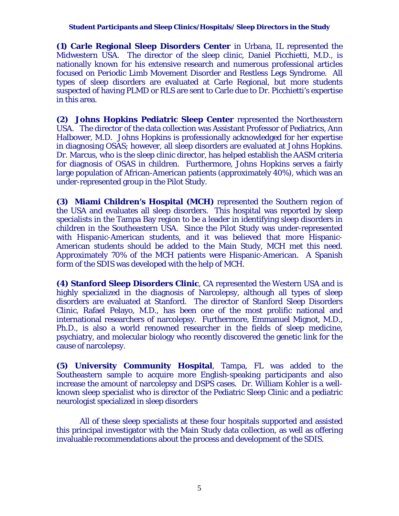**(1) Carle Regional Sleep Disorders Center** in Urbana, IL represented the Midwestern USA. The director of the sleep clinic, Daniel Picchietti, M.D., is nationally known for his extensive research and numerous professional articles focused on Periodic Limb Movement Disorder and Restless Legs Syndrome. All types of sleep disorders are evaluated at Carle Regional, but more students suspected of having PLMD or RLS are sent to Carle due to Dr. Picchietti's expertise in this area.

**(2) Johns Hopkins Pediatric Sleep Center** represented the Northeastern USA. The director of the data collection was Assistant Professor of Pediatrics, Ann Halbower, M.D. Johns Hopkins is professionally acknowledged for her expertise in diagnosing OSAS; however, all sleep disorders are evaluated at Johns Hopkins. Dr. Marcus, who is the sleep clinic director, has helped establish the AASM criteria for diagnosis of OSAS in children. Furthermore, Johns Hopkins serves a fairly large population of African-American patients (approximately 40%), which was an under-represented group in the Pilot Study.

**(3) Miami Children's Hospital (MCH)** represented the Southern region of the USA and evaluates all sleep disorders. This hospital was reported by sleep specialists in the Tampa Bay region to be a leader in identifying sleep disorders in children in the Southeastern USA. Since the Pilot Study was under-represented with Hispanic-American students, and it was believed that more Hispanic-American students should be added to the Main Study, MCH met this need. Approximately 70% of the MCH patients were Hispanic-American. A Spanish form of the SDIS was developed with the help of MCH.

**(4) Stanford Sleep Disorders Clinic**, CA represented the Western USA and is highly specialized in the diagnosis of Narcolepsy, although all types of sleep disorders are evaluated at Stanford. The director of Stanford Sleep Disorders Clinic, Rafael Pelayo, M.D., has been one of the most prolific national and international researchers of narcolepsy. Furthermore, Emmanuel Mignot, M.D., Ph.D., is also a world renowned researcher in the fields of sleep medicine, psychiatry, and molecular biology who recently discovered the genetic link for the cause of narcolepsy.

**(5) University Community Hospital**, Tampa, FL was added to the Southeastern sample to acquire more English-speaking participants and also increase the amount of narcolepsy and DSPS cases. Dr. William Kohler is a wellknown sleep specialist who is director of the Pediatric Sleep Clinic and a pediatric neurologist specialized in sleep disorders

 All of these sleep specialists at these four hospitals supported and assisted this principal investigator with the Main Study data collection, as well as offering invaluable recommendations about the process and development of the SDIS.